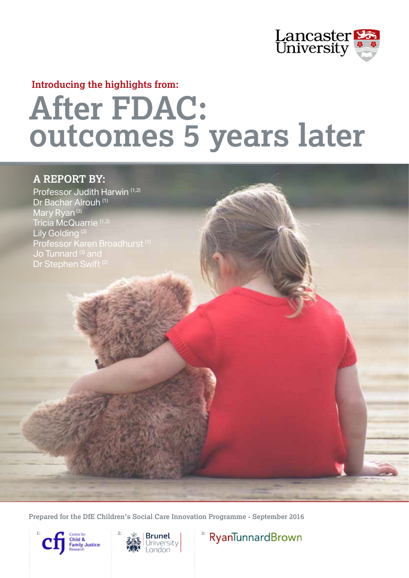

### **Introducing the highlights from:**

# **After FDAC: outcomes 5 years later**

## **A REPORT BY:**

Professor Judith Harwin (1,2) Dr Bachar Alrouh (1) Mary Ryan<sup>(3)</sup> Tricia McQuarrie (1,2) Lily Golding<sup>(2)</sup> Professor Karen Broadhurst<sup>(1)</sup> Jo Tunnard<sup>(3)</sup> and Dr Stephen Swift (2)

**Prepared for the DfE Children's Social Care Innovation Programme - September 2016**







RyanTunnardBrown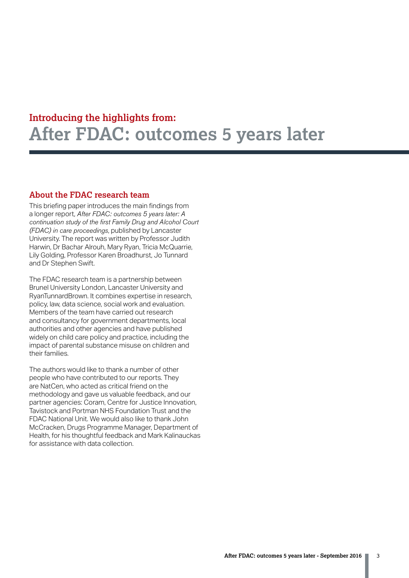#### **About the FDAC research team**

This briefing paper introduces the main findings from a longer report, *After FDAC: outcomes 5 years later: A continuation study of the first Family Drug and Alcohol Court (FDAC) in care proceedings*, published by Lancaster University. The report was written by Professor Judith Harwin, Dr Bachar Alrouh, Mary Ryan, Tricia McQuarrie, Lily Golding, Professor Karen Broadhurst, Jo Tunnard and Dr Stephen Swift.

The FDAC research team is a partnership between Brunel University London, Lancaster University and RyanTunnardBrown. It combines expertise in research, policy, law, data science, social work and evaluation. Members of the team have carried out research and consultancy for government departments, local authorities and other agencies and have published widely on child care policy and practice, including the impact of parental substance misuse on children and their families.

The authors would like to thank a number of other people who have contributed to our reports. They are NatCen, who acted as critical friend on the methodology and gave us valuable feedback, and our partner agencies: Coram, Centre for Justice Innovation, Tavistock and Portman NHS Foundation Trust and the FDAC National Unit. We would also like to thank John McCracken, Drugs Programme Manager, Department of Health, for his thoughtful feedback and Mark Kalinauckas for assistance with data collection.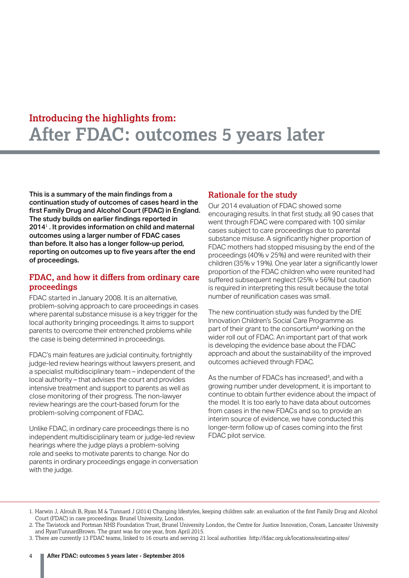This is a summary of the main findings from a continuation study of outcomes of cases heard in the first Family Drug and Alcohol Court (FDAC) in England. The study builds on earlier findings reported in 2014<sup>1</sup>. It provides information on child and maternal outcomes using a larger number of FDAC cases than before. It also has a longer follow-up period, reporting on outcomes up to five years after the end of proceedings.

#### **FDAC, and how it differs from ordinary care proceedings**

FDAC started in January 2008. It is an alternative, problem-solving approach to care proceedings in cases where parental substance misuse is a key trigger for the local authority bringing proceedings. It aims to support parents to overcome their entrenched problems while the case is being determined in proceedings.

FDAC's main features are judicial continuity, fortnightly judge-led review hearings without lawyers present, and a specialist multidisciplinary team – independent of the local authority – that advises the court and provides intensive treatment and support to parents as well as close monitoring of their progress. The non-lawyer review hearings are the court-based forum for the problem-solving component of FDAC.

Unlike FDAC, in ordinary care proceedings there is no independent multidisciplinary team or judge-led review hearings where the judge plays a problem-solving role and seeks to motivate parents to change. Nor do parents in ordinary proceedings engage in conversation with the judge.

### **Rationale for the study**

Our 2014 evaluation of FDAC showed some encouraging results. In that first study, all 90 cases that went through FDAC were compared with 100 similar cases subject to care proceedings due to parental substance misuse. A significantly higher proportion of FDAC mothers had stopped misusing by the end of the proceedings (40% v 25%) and were reunited with their children (35% v 19%). One year later a significantly lower proportion of the FDAC children who were reunited had suffered subsequent neglect (25% v 56%) but caution is required in interpreting this result because the total number of reunification cases was small.

The new continuation study was funded by the DfE Innovation Children's Social Care Programme as part of their grant to the consortium<sup>2</sup> working on the wider roll out of FDAC. An important part of that work is developing the evidence base about the FDAC approach and about the sustainability of the improved outcomes achieved through FDAC.

As the number of FDACs has increased<sup>3</sup>, and with a growing number under development, it is important to continue to obtain further evidence about the impact of the model. It is too early to have data about outcomes from cases in the new FDACs and so, to provide an interim source of evidence, we have conducted this longer-term follow up of cases coming into the first FDAC pilot service.

<sup>1.</sup> Harwin J, Alrouh B, Ryan M & Tunnard J (2014) Changing lifestyles, keeping children safe: an evaluation of the first Family Drug and Alcohol Court (FDAC) in care proceedings. Brunel University, London.

<sup>2.</sup> The Tavistock and Portman NHS Foundation Trust, Brunel University London, the Centre for Justice Innovation, Coram, Lancaster University and RyanTunnardBrown. The grant was for one year, from April 2015.

<sup>3.</sup> There are currently 13 FDAC teams, linked to 16 courts and serving 21 local authorities http://fdac.org.uk/locations/existing-sites/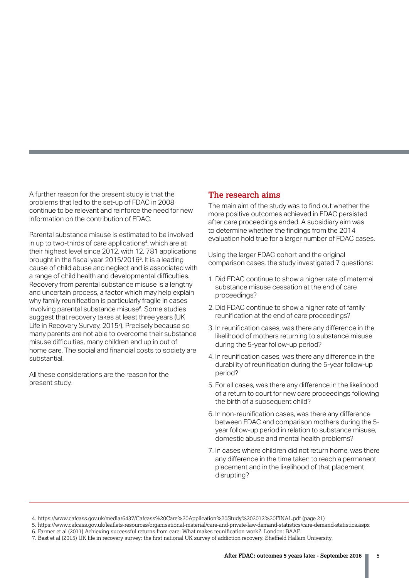A further reason for the present study is that the problems that led to the set-up of FDAC in 2008 continue to be relevant and reinforce the need for new information on the contribution of FDAC.

Parental substance misuse is estimated to be involved in up to two-thirds of care applications<sup>4</sup>, which are at their highest level since 2012, with 12, 781 applications brought in the fiscal year 2015/2016<sup>5</sup> . It is a leading cause of child abuse and neglect and is associated with a range of child health and developmental difficulties. Recovery from parental substance misuse is a lengthy and uncertain process, a factor which may help explain why family reunification is particularly fragile in cases involving parental substance misuse<sup>6</sup>. Some studies suggest that recovery takes at least three years (UK Life in Recovery Survey, 2015<sup>7</sup> ). Precisely because so many parents are not able to overcome their substance misuse difficulties, many children end up in out of home care. The social and financial costs to society are substantial.

All these considerations are the reason for the present study.

#### **The research aims**

The main aim of the study was to find out whether the more positive outcomes achieved in FDAC persisted after care proceedings ended. A subsidiary aim was to determine whether the findings from the 2014 evaluation hold true for a larger number of FDAC cases.

Using the larger FDAC cohort and the original comparison cases, the study investigated 7 questions:

- 1. Did FDAC continue to show a higher rate of maternal substance misuse cessation at the end of care proceedings?
- 2. Did FDAC continue to show a higher rate of family reunification at the end of care proceedings?
- 3. In reunification cases, was there any difference in the likelihood of mothers returning to substance misuse during the 5-year follow-up period?
- 4. In reunification cases, was there any difference in the durability of reunification during the 5-year follow-up period?
- 5. For all cases, was there any difference in the likelihood of a return to court for new care proceedings following the birth of a subsequent child?
- 6. In non-reunification cases, was there any difference between FDAC and comparison mothers during the 5 year follow-up period in relation to substance misuse, domestic abuse and mental health problems?
- 7. In cases where children did not return home, was there any difference in the time taken to reach a permanent placement and in the likelihood of that placement disrupting?

 <sup>4.</sup> https://www.cafcass.gov.uk/media/6437/Cafcass%20Care%20Application%20Study%202012%20FINAL.pdf (page 21)

 <sup>5.</sup> https://www.cafcass.gov.uk/leaflets-resources/organisational-material/care-and-private-law-demand-statistics/care-demand-statistics.aspx

 <sup>6.</sup> Farmer et al (2011) Achieving successful returns from care: What makes reunification work?. London: BAAF.

 <sup>7.</sup> Best et al (2015) UK life in recovery survey: the first national UK survey of addiction recovery. Sheffield Hallam University.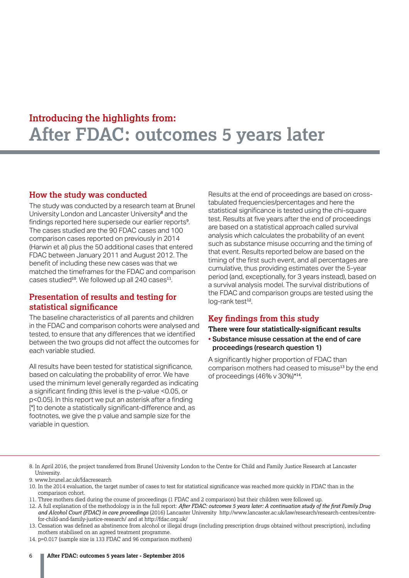#### **How the study was conducted**

The study was conducted by a research team at Brunel University London and Lancaster University<sup>8</sup> and the findings reported here supersede our earlier reports<sup>9</sup>. The cases studied are the 90 FDAC cases and 100 comparison cases reported on previously in 2014 (Harwin et al) plus the 50 additional cases that entered FDAC between January 2011 and August 2012. The benefit of including these new cases was that we matched the timeframes for the FDAC and comparison cases studied<sup>10</sup>. We followed up all 240 cases<sup>11</sup>.

### **Presentation of results and testing for statistical significance**

The baseline characteristics of all parents and children in the FDAC and comparison cohorts were analysed and tested, to ensure that any differences that we identified between the two groups did not affect the outcomes for each variable studied.

All results have been tested for statistical significance, based on calculating the probability of error. We have used the minimum level generally regarded as indicating a significant finding (this level is the p-value <0.05, or p<0.05). In this report we put an asterisk after a finding [\*] to denote a statistically significant-difference and, as footnotes, we give the p value and sample size for the variable in question.

Results at the end of proceedings are based on crosstabulated frequencies/percentages and here the statistical significance is tested using the chi-square test. Results at five years after the end of proceedings are based on a statistical approach called survival analysis which calculates the probability of an event such as substance misuse occurring and the timing of that event. Results reported below are based on the timing of the first such event, and all percentages are cumulative, thus providing estimates over the 5-year period (and, exceptionally, for 3 years instead), based on a survival analysis model. The survival distributions of the FDAC and comparison groups are tested using the log-rank test<sup>12</sup>.

### **Key findings from this study**

#### **There were four statistically-significant results**

• Substance misuse cessation at the end of care proceedings (research question 1)

A significantly higher proportion of FDAC than comparison mothers had ceased to misuse<sup>13</sup> by the end of proceedings (46% v 30%)\*<sup>14</sup>.

11. Three mothers died during the course of proceedings (1 FDAC and 2 comparison) but their children were followed up.

13. Cessation was defined as abstinence from alcohol or illegal drugs (including prescription drugs obtained without prescription), including mothers stabilised on an agreed treatment programme.

14. p=0.017 (sample size is 133 FDAC and 96 comparison mothers)

<sup>8.</sup> In April 2016, the project transferred from Brunel University London to the Centre for Child and Family Justice Research at Lancaster University.

<sup>9.</sup> www.brunel.ac.uk/fdacresearch

<sup>10.</sup> In the 2014 evaluation, the target number of cases to test for statistical significance was reached more quickly in FDAC than in the comparison cohort.

<sup>12.</sup> A full explanation of the methodology is in the full report: *After FDAC: outcomes 5 years later: A continuation study of the first Family Drug and Alcohol Court (FDAC) in care proceedings* (2016) Lancaster University http://www.lancaster.ac.uk/law/research/research-centres/centrefor-child-and-family-justice-research/ and at http://fdac.org.uk/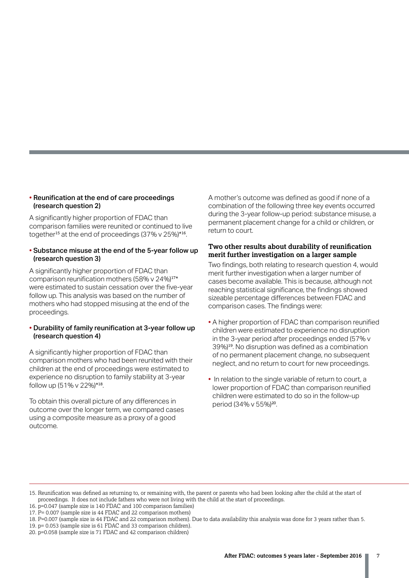#### • Reunification at the end of care proceedings (research question 2)

A significantly higher proportion of FDAC than comparison families were reunited or continued to live together<sup>15</sup> at the end of proceedings (37% v 25%)\*<sup>16</sup>.

#### • Substance misuse at the end of the 5-year follow up (research question 3)

A significantly higher proportion of FDAC than comparison reunification mothers (58% v 24%)<sup>17\*</sup> were estimated to sustain cessation over the five-year follow up. This analysis was based on the number of mothers who had stopped misusing at the end of the proceedings.

#### • Durability of family reunification at 3-year follow up (research question 4)

A significantly higher proportion of FDAC than comparison mothers who had been reunited with their children at the end of proceedings were estimated to experience no disruption to family stability at 3-year follow up  $(51\% \text{ v } 22\%)$ \*18.

To obtain this overall picture of any differences in outcome over the longer term, we compared cases using a composite measure as a proxy of a good outcome.

A mother's outcome was defined as good if none of a combination of the following three key events occurred during the 3-year follow-up period: substance misuse, a permanent placement change for a child or children, or return to court.

#### **Two other results about durability of reunification merit further investigation on a larger sample**

Two findings, both relating to research question 4, would merit further investigation when a larger number of cases become available. This is because, although not reaching statistical significance, the findings showed sizeable percentage differences between FDAC and comparison cases. The findings were:

- A higher proportion of FDAC than comparison reunified children were estimated to experience no disruption in the 3-year period after proceedings ended (57% v 39%)<sup>19</sup>. No disruption was defined as a combination of no permanent placement change, no subsequent neglect, and no return to court for new proceedings.
- In relation to the single variable of return to court, a lower proportion of FDAC than comparison reunified children were estimated to do so in the follow-up period (34% v 55%)<sup>20</sup>.

<sup>15.</sup> Reunification was defined as returning to, or remaining with, the parent or parents who had been looking after the child at the start of proceedings. It does not include fathers who were not living with the child at the start of proceedings.

<sup>16.</sup> p=0.047 (sample size is 140 FDAC and 100 comparison families)

<sup>17.</sup> P= 0.007 (sample size is 44 FDAC and 22 comparison mothers)

<sup>18.</sup> P=0.007 (sample size is 44 FDAC and 22 comparison mothers). Due to data availability this analysis was done for 3 years rather than 5.

<sup>19.</sup> p= 0.053 (sample size is 61 FDAC and 33 comparison children).

<sup>20.</sup> p=0.058 (sample size is 71 FDAC and 42 comparison children)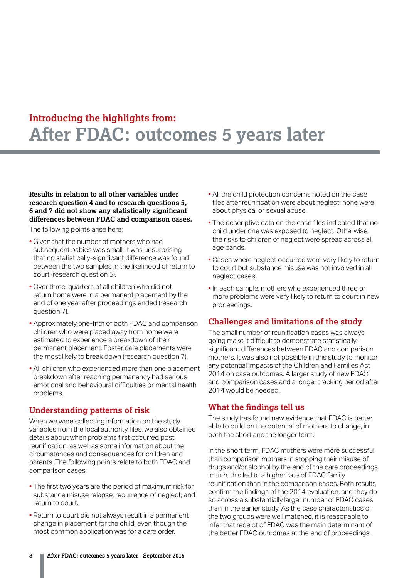**Results in relation to all other variables under research question 4 and to research questions 5, 6 and 7 did not show any statistically significant differences between FDAC and comparison cases.** 

The following points arise here:

- Given that the number of mothers who had subsequent babies was small, it was unsurprising that no statistically-significant difference was found between the two samples in the likelihood of return to court (research question 5).
- Over three-quarters of all children who did not return home were in a permanent placement by the end of one year after proceedings ended (research question 7).
- Approximately one-fifth of both FDAC and comparison children who were placed away from home were estimated to experience a breakdown of their permanent placement. Foster care placements were the most likely to break down (research question 7).
- All children who experienced more than one placement breakdown after reaching permanency had serious emotional and behavioural difficulties or mental health problems.

#### **Understanding patterns of risk**

When we were collecting information on the study variables from the local authority files, we also obtained details about when problems first occurred post reunification, as well as some information about the circumstances and consequences for children and parents. The following points relate to both FDAC and comparison cases:

- The first two years are the period of maximum risk for substance misuse relapse, recurrence of neglect, and return to court.
- Return to court did not always result in a permanent change in placement for the child, even though the most common application was for a care order.
- All the child protection concerns noted on the case files after reunification were about neglect; none were about physical or sexual abuse.
- The descriptive data on the case files indicated that no child under one was exposed to neglect. Otherwise, the risks to children of neglect were spread across all age bands.
- Cases where neglect occurred were very likely to return to court but substance misuse was not involved in all neglect cases.
- In each sample, mothers who experienced three or more problems were very likely to return to court in new proceedings.

#### **Challenges and limitations of the study**

The small number of reunification cases was always going make it difficult to demonstrate statisticallysignificant differences between FDAC and comparison mothers. It was also not possible in this study to monitor any potential impacts of the Children and Families Act 2014 on case outcomes. A larger study of new FDAC and comparison cases and a longer tracking period after 2014 would be needed.

#### **What the findings tell us**

The study has found new evidence that FDAC is better able to build on the potential of mothers to change, in both the short and the longer term.

In the short term, FDAC mothers were more successful than comparison mothers in stopping their misuse of drugs and/or alcohol by the end of the care proceedings. In turn, this led to a higher rate of FDAC family reunification than in the comparison cases. Both results confirm the findings of the 2014 evaluation, and they do so across a substantially larger number of FDAC cases than in the earlier study. As the case characteristics of the two groups were well matched, it is reasonable to infer that receipt of FDAC was the main determinant of the better FDAC outcomes at the end of proceedings.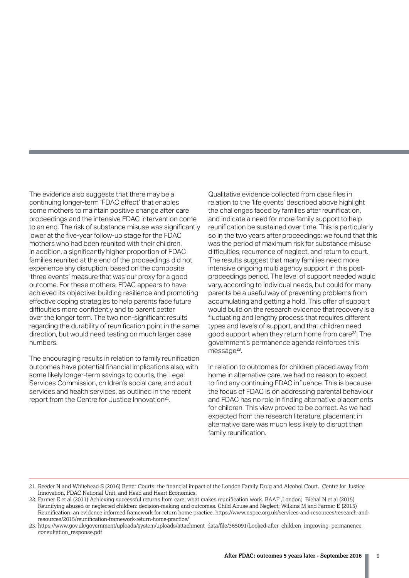The evidence also suggests that there may be a continuing longer-term 'FDAC effect' that enables some mothers to maintain positive change after care proceedings and the intensive FDAC intervention come to an end. The risk of substance misuse was significantly lower at the five-year follow-up stage for the FDAC mothers who had been reunited with their children. In addition, a significantly higher proportion of FDAC families reunited at the end of the proceedings did not experience any disruption, based on the composite 'three events' measure that was our proxy for a good outcome. For these mothers, FDAC appears to have achieved its objective: building resilience and promoting effective coping strategies to help parents face future difficulties more confidently and to parent better over the longer term. The two non-significant results regarding the durability of reunification point in the same direction, but would need testing on much larger case numbers.

The encouraging results in relation to family reunification outcomes have potential financial implications also, with some likely longer-term savings to courts, the Legal Services Commission, children's social care, and adult services and health services, as outlined in the recent report from the Centre for Justice Innovation<sup>21</sup>.

Qualitative evidence collected from case files in relation to the 'life events' described above highlight the challenges faced by families after reunification, and indicate a need for more family support to help reunification be sustained over time. This is particularly so in the two years after proceedings: we found that this was the period of maximum risk for substance misuse difficulties, recurrence of neglect, and return to court. The results suggest that many families need more intensive ongoing multi agency support in this postproceedings period. The level of support needed would vary, according to individual needs, but could for many parents be a useful way of preventing problems from accumulating and getting a hold. This offer of support would build on the research evidence that recovery is a fluctuating and lengthy process that requires different types and levels of support, and that children need good support when they return home from care<sup>22</sup>. The government's permanence agenda reinforces this message<sup>23</sup>.

In relation to outcomes for children placed away from home in alternative care, we had no reason to expect to find any continuing FDAC influence. This is because the focus of FDAC is on addressing parental behaviour and FDAC has no role in finding alternative placements for children. This view proved to be correct. As we had expected from the research literature, placement in alternative care was much less likely to disrupt than family reunification.

<sup>21.</sup> Reeder N and Whitehead S (2016) Better Courts: the financial impact of the London Family Drug and Alcohol Court. Centre for Justice Innovation, FDAC National Unit, and Head and Heart Economics.

<sup>22.</sup> Farmer E et al (2011) Achieving successful returns from care: what makes reunification work. BAAF ,London; Biehal N et al (2015) Reunifying abused or neglected children: decision-making and outcomes. Child Abuse and Neglect; Wilkins M and Farmer E (2015) Reunification: an evidence informed framework for return home practice. https://www.nspcc.org.uk/services-and-resources/research-andresources/2015/reunification-framework-return-home-practice/

<sup>23.</sup> https://www.gov.uk/government/uploads/system/uploads/attachment\_data/file/365091/Looked-after\_children\_improving\_permanence\_ consultation\_response.pdf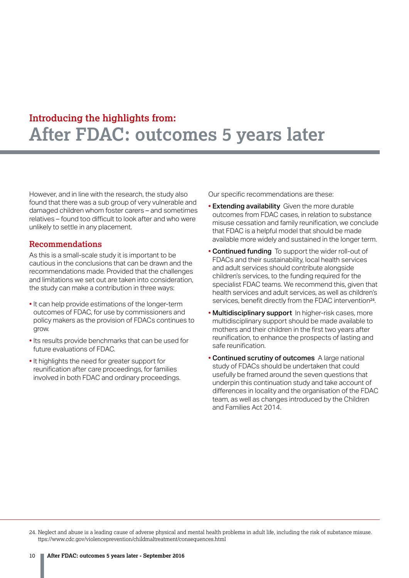However, and in line with the research, the study also found that there was a sub group of very vulnerable and damaged children whom foster carers – and sometimes relatives – found too difficult to look after and who were unlikely to settle in any placement.

#### **Recommendations**

As this is a small-scale study it is important to be cautious in the conclusions that can be drawn and the recommendations made. Provided that the challenges and limitations we set out are taken into consideration, the study can make a contribution in three ways:

- It can help provide estimations of the longer-term outcomes of FDAC, for use by commissioners and policy makers as the provision of FDACs continues to grow.
- Its results provide benchmarks that can be used for future evaluations of FDAC.
- It highlights the need for greater support for reunification after care proceedings, for families involved in both FDAC and ordinary proceedings.

Our specific recommendations are these:

- Extending availability Given the more durable outcomes from FDAC cases, in relation to substance misuse cessation and family reunification, we conclude that FDAC is a helpful model that should be made available more widely and sustained in the longer term.
- Continued funding To support the wider roll-out of FDACs and their sustainability, local health services and adult services should contribute alongside children's services, to the funding required for the specialist FDAC teams. We recommend this, given that health services and adult services, as well as children's services, benefit directly from the FDAC intervention<sup>24</sup>.
- Multidisciplinary support In higher-risk cases, more multidisciplinary support should be made available to mothers and their children in the first two years after reunification, to enhance the prospects of lasting and safe reunification.
- Continued scrutiny of outcomes A large national study of FDACs should be undertaken that could usefully be framed around the seven questions that underpin this continuation study and take account of differences in locality and the organisation of the FDAC team, as well as changes introduced by the Children and Families Act 2014.

24. Neglect and abuse is a leading cause of adverse physical and mental health problems in adult life, including the risk of substance misuse. ttps://www.cdc.gov/violenceprevention/childmaltreatment/consequences.html